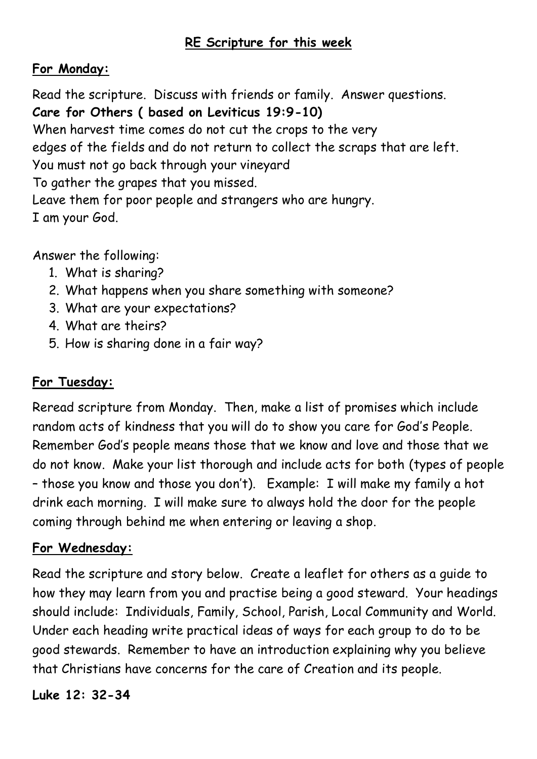## **RE Scripture for this week**

## **For Monday:**

Read the scripture. Discuss with friends or family. Answer questions. **Care for Others ( based on Leviticus 19:9-10)** When harvest time comes do not cut the crops to the very edges of the fields and do not return to collect the scraps that are left. You must not go back through your vineyard To gather the grapes that you missed. Leave them for poor people and strangers who are hungry. I am your God.

Answer the following:

- 1. What is sharing?
- 2. What happens when you share something with someone?
- 3. What are your expectations?
- 4. What are theirs?
- 5. How is sharing done in a fair way?

## **For Tuesday:**

Reread scripture from Monday. Then, make a list of promises which include random acts of kindness that you will do to show you care for God's People. Remember God's people means those that we know and love and those that we do not know. Make your list thorough and include acts for both (types of people – those you know and those you don't). Example: I will make my family a hot drink each morning. I will make sure to always hold the door for the people coming through behind me when entering or leaving a shop.

#### **For Wednesday:**

Read the scripture and story below. Create a leaflet for others as a guide to how they may learn from you and practise being a good steward. Your headings should include: Individuals, Family, School, Parish, Local Community and World. Under each heading write practical ideas of ways for each group to do to be good stewards. Remember to have an introduction explaining why you believe that Christians have concerns for the care of Creation and its people.

**Luke 12: 32-34**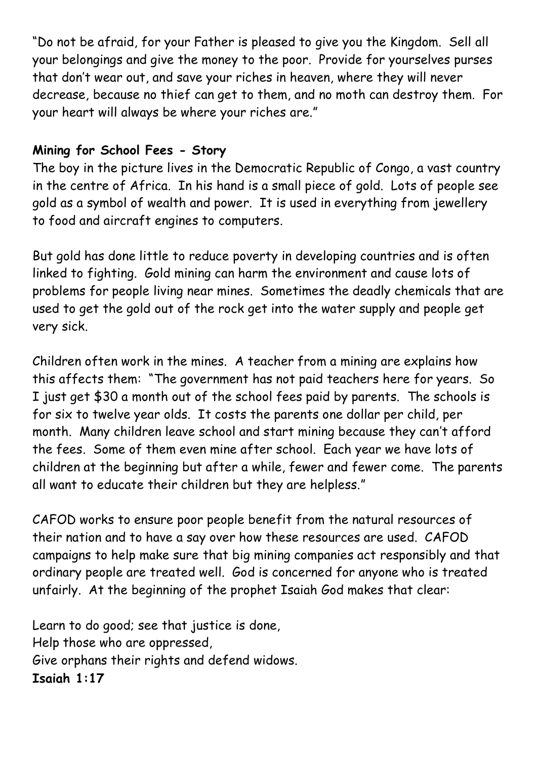"Do not be afraid, for your Father is pleased to give you the Kingdom. Sell all your belongings and give the money to the poor. Provide for yourselves purses that don't wear out, and save your riches in heaven, where they will never decrease, because no thief can get to them, and no moth can destroy them. For your heart will always be where your riches are."

## **Mining for School Fees - Story**

The boy in the picture lives in the Democratic Republic of Congo, a vast country in the centre of Africa. In his hand is a small piece of gold. Lots of people see gold as a symbol of wealth and power. It is used in everything from jewellery to food and aircraft engines to computers.

But gold has done little to reduce poverty in developing countries and is often linked to fighting. Gold mining can harm the environment and cause lots of problems for people living near mines. Sometimes the deadly chemicals that are used to get the gold out of the rock get into the water supply and people get very sick.

Children often work in the mines. A teacher from a mining are explains how this affects them: "The government has not paid teachers here for years. So I just get \$30 a month out of the school fees paid by parents. The schools is for six to twelve year olds. It costs the parents one dollar per child, per month. Many children leave school and start mining because they can't afford the fees. Some of them even mine after school. Each year we have lots of children at the beginning but after a while, fewer and fewer come. The parents all want to educate their children but they are helpless."

CAFOD works to ensure poor people benefit from the natural resources of their nation and to have a say over how these resources are used. CAFOD campaigns to help make sure that big mining companies act responsibly and that ordinary people are treated well. God is concerned for anyone who is treated unfairly. At the beginning of the prophet Isaiah God makes that clear:

Learn to do good; see that justice is done, Help those who are oppressed, Give orphans their rights and defend widows. **Isaiah 1:17**